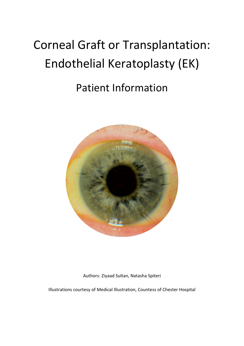# Corneal Graft or Transplantation: Endothelial Keratoplasty (EK)

## Patient Information



Authors: Ziyaad Sultan, Natasha Spiteri

Illustrations courtesy of Medical Illustration, Countess of Chester Hospital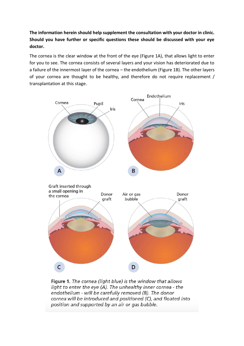**The information herein should help supplement the consultation with your doctor in clinic. Should you have further or specific questions these should be discussed with your eye doctor.**

The cornea is the clear window at the front of the eye (Figure 1A), that allows light to enter for you to see. The cornea consists of several layers and your vision has deteriorated due to a failure of the innermost layer of the cornea – the endothelium (Figure 1B). The other layers of your cornea are thought to be healthy, and therefore do not require replacement / transplantation at this stage.



Figure 1. The cornea (light blue) is the window that allows light to enter the eye (A). The unhealthy inner cornea - the endothelium - will be carefully removed (B). The donor cornea will be introduced and positioned (C), and floated into position and supported by an air or gas bubble.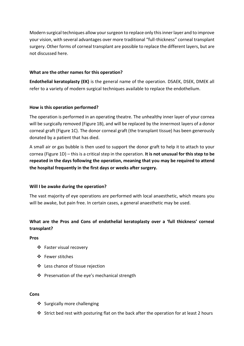Modern surgical techniques allow your surgeon to replace only this inner layer and to improve your vision, with several advantages over more traditional "full-thickness" corneal transplant surgery. Other forms of corneal transplant are possible to replace the different layers, but are not discussed here.

#### **What are the other names for this operation?**

**Endothelial keratoplasty (EK)** is the general name of the operation. DSAEK, DSEK, DMEK all refer to a variety of modern surgical techniques available to replace the endothelium.

#### **How is this operation performed?**

The operation is performed in an operating theatre. The unhealthy inner layer of your cornea will be surgically removed (Figure 1B), and will be replaced by the innermost layers of a donor corneal graft (Figure 1C). The donor corneal graft (the transplant tissue) has been generously donated by a patient that has died.

A small air or gas bubble is then used to support the donor graft to help it to attach to your cornea (Figure 1D) – this is a critical step in the operation. **It is not unusual for this step to be repeated in the days following the operation, meaning that you may be required to attend the hospital frequently in the first days or weeks after surgery.**

#### **Will I be awake during the operation?**

The vast majority of eye operations are performed with local anaesthetic, which means you will be awake, but pain free. In certain cases, a general anaesthetic may be used.

### **What are the Pros and Cons of endothelial keratoplasty over a 'full thickness' corneal transplant?**

**Pros**

- ❖ Faster visual recovery
- ❖ Fewer stitches
- ❖ Less chance of tissue rejection
- ❖ Preservation of the eye's mechanical strength

#### **Cons**

- ❖ Surgically more challenging
- ❖ Strict bed rest with posturing flat on the back after the operation for at least 2 hours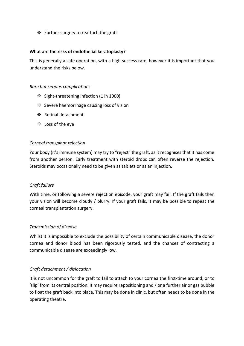❖ Further surgery to reattach the graft

#### **What are the risks of endothelial keratoplasty?**

This is generally a safe operation, with a high success rate, however it is important that you understand the risks below.

#### *Rare but serious complications*

- ❖ Sight-threatening infection (1 in 1000)
- ❖ Severe haemorrhage causing loss of vision
- ❖ Retinal detachment
- ❖ Loss of the eye

#### *Corneal transplant rejection*

Your body (it's immune system) may try to "reject" the graft, as it recognises that it has come from another person. Early treatment with steroid drops can often reverse the rejection. Steroids may occasionally need to be given as tablets or as an injection.

#### *Graft failure*

With time, or following a severe rejection episode, your graft may fail. If the graft fails then your vision will become cloudy / blurry. If your graft fails, it may be possible to repeat the corneal transplantation surgery.

#### *Transmission of disease*

Whilst it is impossible to exclude the possibility of certain communicable disease, the donor cornea and donor blood has been rigorously tested, and the chances of contracting a communicable disease are exceedingly low.

#### *Graft detachment / dislocation*

It is not uncommon for the graft to fail to attach to your cornea the first-time around, or to 'slip' from its central position. It may require repositioning and / or a further air or gas bubble to float the graft back into place. This may be done in clinic, but often needs to be done in the operating theatre.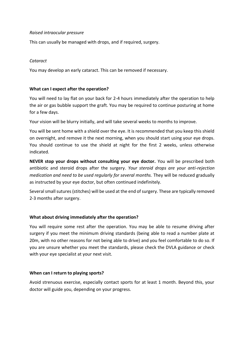#### *Raised intraocular pressure*

This can usually be managed with drops, and if required, surgery.

#### *Cataract*

You may develop an early cataract. This can be removed if necessary.

#### **What can I expect after the operation?**

You will need to lay flat on your back for 2-4 hours immediately after the operation to help the air or gas bubble support the graft. You may be required to continue posturing at home for a few days.

Your vision will be blurry initially, and will take several weeks to months to improve.

You will be sent home with a shield over the eye. It is recommended that you keep this shield on overnight, and remove it the next morning, when you should start using your eye drops. You should continue to use the shield at night for the first 2 weeks, unless otherwise indicated.

**NEVER stop your drops without consulting your eye doctor.** You will be prescribed both antibiotic and steroid drops after the surgery. *Your steroid drops are your anti-rejection medication and need to be used regularly for several months.* They will be reduced gradually as instructed by your eye doctor, but often continued indefinitely.

Several small sutures (stitches) will be used at the end of surgery. These are typically removed 2-3 months after surgery.

#### **What about driving immediately after the operation?**

You will require some rest after the operation. You may be able to resume driving after surgery if you meet the minimum driving standards (being able to read a number plate at 20m, with no other reasons for not being able to drive) and you feel comfortable to do so. If you are unsure whether you meet the standards, please check the DVLA guidance or check with your eye specialist at your next visit.

#### **When can I return to playing sports?**

Avoid strenuous exercise, especially contact sports for at least 1 month. Beyond this, your doctor will guide you, depending on your progress.